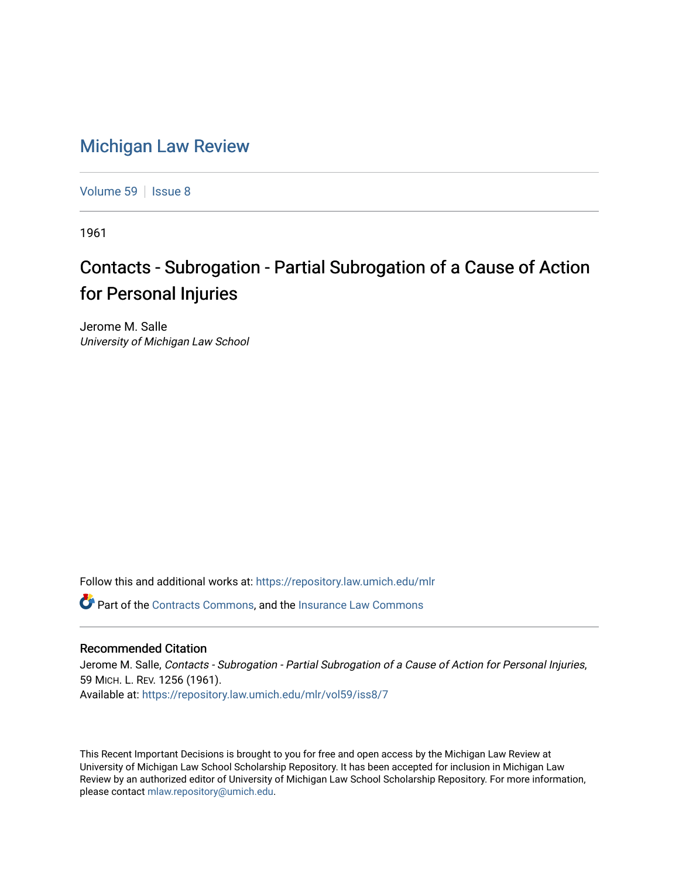## [Michigan Law Review](https://repository.law.umich.edu/mlr)

[Volume 59](https://repository.law.umich.edu/mlr/vol59) | [Issue 8](https://repository.law.umich.edu/mlr/vol59/iss8)

1961

## Contacts - Subrogation - Partial Subrogation of a Cause of Action for Personal Injuries

Jerome M. Salle University of Michigan Law School

Follow this and additional works at: [https://repository.law.umich.edu/mlr](https://repository.law.umich.edu/mlr?utm_source=repository.law.umich.edu%2Fmlr%2Fvol59%2Fiss8%2F7&utm_medium=PDF&utm_campaign=PDFCoverPages) 

Part of the [Contracts Commons](http://network.bepress.com/hgg/discipline/591?utm_source=repository.law.umich.edu%2Fmlr%2Fvol59%2Fiss8%2F7&utm_medium=PDF&utm_campaign=PDFCoverPages), and the [Insurance Law Commons](http://network.bepress.com/hgg/discipline/607?utm_source=repository.law.umich.edu%2Fmlr%2Fvol59%2Fiss8%2F7&utm_medium=PDF&utm_campaign=PDFCoverPages)

## Recommended Citation

Jerome M. Salle, Contacts - Subrogation - Partial Subrogation of a Cause of Action for Personal Injuries, 59 MICH. L. REV. 1256 (1961). Available at: [https://repository.law.umich.edu/mlr/vol59/iss8/7](https://repository.law.umich.edu/mlr/vol59/iss8/7?utm_source=repository.law.umich.edu%2Fmlr%2Fvol59%2Fiss8%2F7&utm_medium=PDF&utm_campaign=PDFCoverPages)

This Recent Important Decisions is brought to you for free and open access by the Michigan Law Review at University of Michigan Law School Scholarship Repository. It has been accepted for inclusion in Michigan Law Review by an authorized editor of University of Michigan Law School Scholarship Repository. For more information, please contact [mlaw.repository@umich.edu.](mailto:mlaw.repository@umich.edu)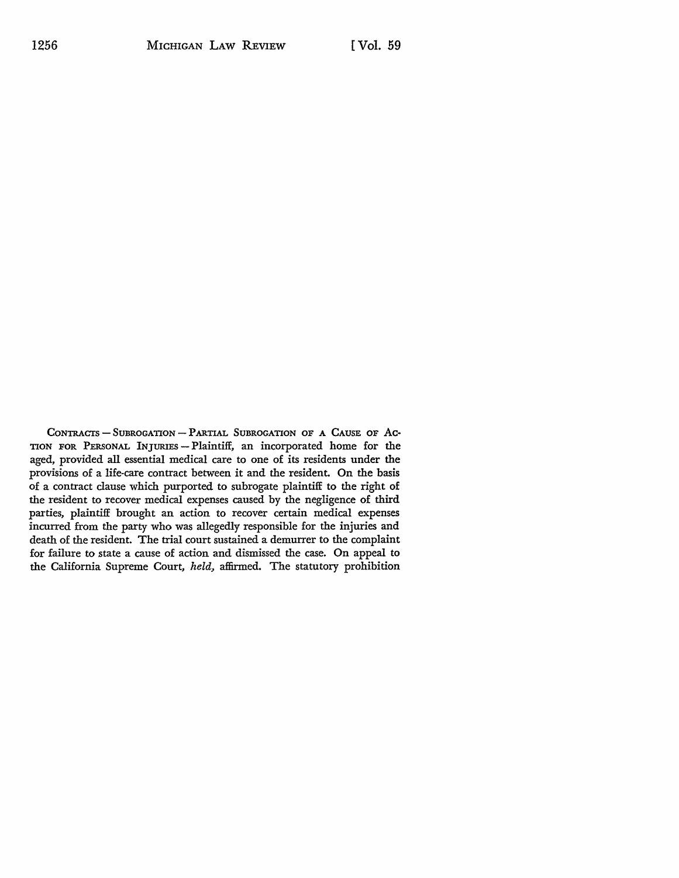CONTRACTS - SUBROGATION - PARTIAL SUBROGATION OF A CAUSE OF AC-TION FOR PERSONAL INJURIES - Plaintiff, an incorporated home for the aged, provided all essential medical care to one of its residents under the provisions of a life-care contract between it and the resident. On the basis of a contract clause which purported to subrogate plaintiff to the right of the resident to recover medical expenses caused by the negligence of third parties, plaintiff brought an action to recover certain medical expenses incurred from the party who was allegedly responsible for the injuries and death of the resident. The trial court sustained a demurrer to the complaint for failure to state a cause of action and dismissed the case. On appeal to the California Supreme Court, *held,* affirmed. The statutory prohibition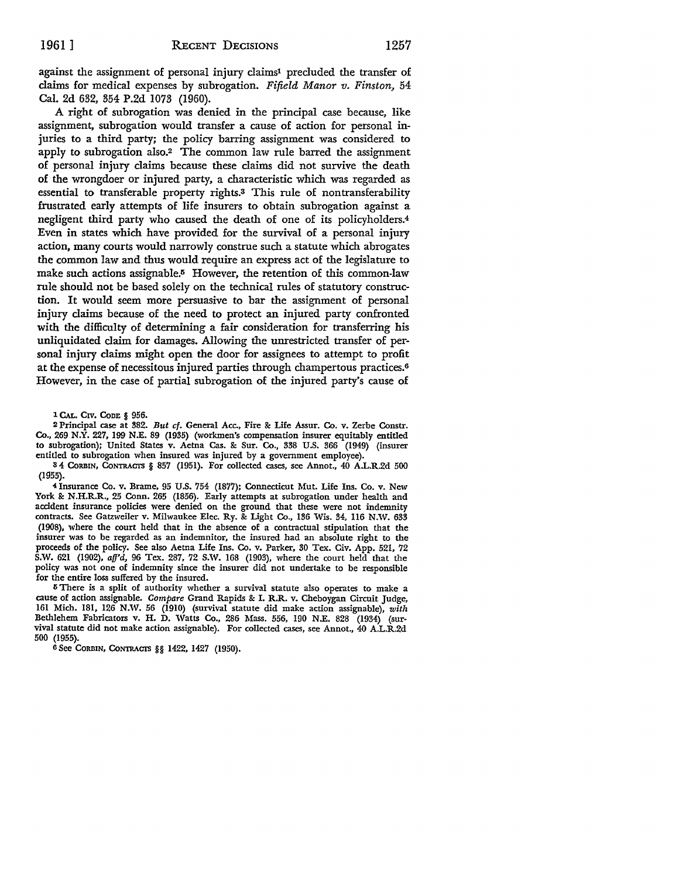against the assignment of personal injury claims<sup>1</sup> precluded the transfer of claims for medical expenses by subrogation. *Fifield Manor v. Finston,* 54 Cal. 2d 632, 354 P.2d 1073 (1960).

A right of subrogation was denied in the principal case because, like assignment, subrogation would transfer a cause of action for personal injuries to a third party; the policy barring assignment was considered to apply to subrogation also.2 The common law rule barred the assignment of personal injury claims because these claims did not survive the death of the wrongdoer or injured party, a characteristic which was regarded as essential to transferable property rights.<sup>3</sup> This rule of nontransferability frustrated early attempts of life insurers to obtain subrogation against a negligent third party who caused the death of one of its policyholders.<sup>4</sup> Even in states which have provided for the survival of a personal injury action, many courts would narrowly construe such a statute which abrogates the common law and thus would require an express act of the legislature to make such actions assignable.<sup>5</sup> However, the retention of this common-law rule should not be based solely on the technical rules of statutory construction. It would seem more persuasive to bar the assignment of personal injury claims because of the need to protect an injured party confronted with the difficulty of determining a fair consideration for transferring his unliquidated claim for damages. Allowing the unrestricted transfer of personal injury claims might open the door for assignees to attempt to profit at the expense of necessitous injured parties through champertous practices.<sup>6</sup> However, in the case of partial subrogation of the injured party's cause of

1 CAL. CIV. CoDE § 956.

2 Principal case at 382. *But cf.* General Acc., Fire & Life Assur. Co. v. Zerbe Constr. Co., 269 N.Y. 227, 199 N.E. 89 (1935) (workmen's compensation insurer equitably entitled to subrogation); United States v. Aetna Cas. & Sur. Co., 338 U.S. 366 (1949) (insurer entitled to subrogation when insured was injured by a government employee).

8 4 CORBIN, CoNTRACI'S § 857 (1951). For collected cases, see Annot., 40 A.L.R.2d 500 (1955).

**-i** Insurance Co. v. Brame, 95 U.S. 754 (1877); Connecticut Mut. Life Ins. Co. v. New York & **N.H.R.R.,** 25 Conn. 265 (1856). Early attempts at subrogation under health and accident insurance policies were denied on the ground that these were not indemnity contracts. See Gatzweiler v. Milwaukee Elec. Ry. & Light Co., 136 Wis. 34, 116 N.W. 633 (1908), where the court held that in the absence of a contractual stipulation that the insurer was to be regarded as an indemnitor, the insured had an absolute right to the proceeds of the policy. See also Aetna Life Ins. Co. v. Parker, 30 Tex. Civ. App. 521, 72 S.W. 621 (1902),  $affd$ , 96 Tex. 287, 72 S.W. 168 (1903), where the court held that the policy was not one of indemnity since the insurer did not undertake to be responsible for the entire loss suffered by the insured.

<sup>5</sup> There is a split of authority whether a survival statute also operates to make a cause of action assignable. *Compare* Grand Rapids & I. R.R. v. Cheboygan Circuit Judge, 161 Mich. 181, 126 N.W. 56 (1910) (survival statute did make action assignable), *with*  Bethlehem Fabricators v. H. D. Watts Co., 286 Mass. 556, 190 N.E. 828 (1934) (survival statute did not make action assignable). For collected cases, see Annot., 40 A.L.R.2d 500 (1955).

6 See CORBIN, CONTRACTS §§ 1422, 1427 (1950).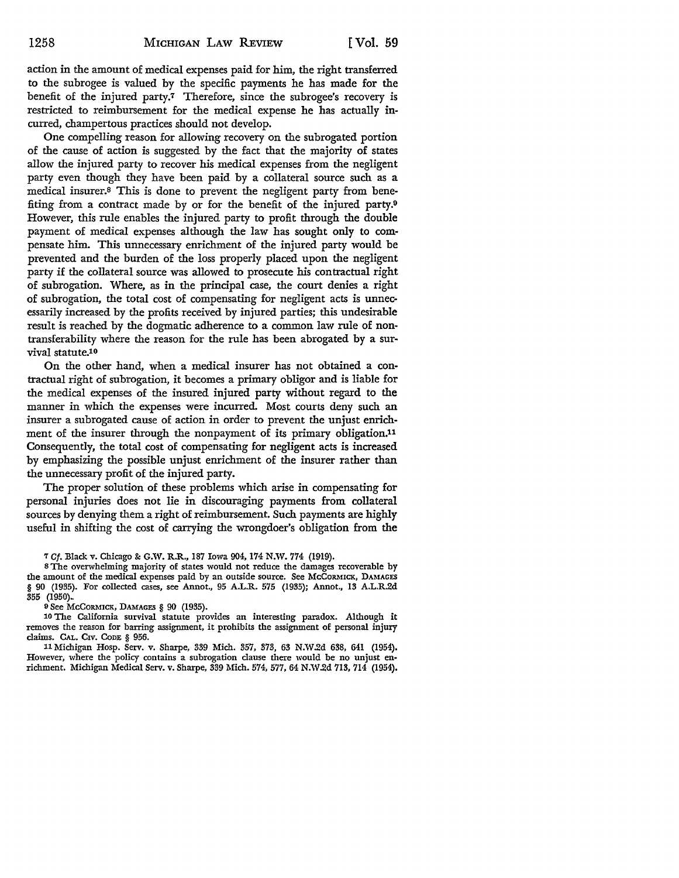action in the amount of medical expenses paid for him, the right transferred to the subrogee is valued by the specific payments he has made for the benefit of the injured party.7 Therefore, since the subrogee's recovery is restricted to reimbursement for the medical expense he has actually incurred, champertous practices should not develop.

One compelling reason for allowing recovery on the subrogated portion of the cause of action is suggested by the fact that the majority of states allow the injured party to recover his medical expenses from the negligent party even though they have been paid by a collateral source such as a medical insurer.8 This is done to prevent the negligent party from benefiting from a contract made by or for the benefit of the injured party.<sup>9</sup> However, this rule enables the injured party to profit through the double payment of medical expenses although the law has sought only to compensate him. This unnecessary enrichment of the injured party would be prevented and the burden of the loss properly placed upon the negligent party if the collateral source was allowed to prosecute his contractual right of subrogation. Where, as in the principal case, the court denies a right of subrogation, the total cost of compensating for negligent acts is unnecessarily increased by the profits received by injured parties; this undesirable result is reached by the dogmatic adherence to a common law rule of nontransferability where the reason for the rule has been abrogated by a survival statute.<sup>10</sup>

On the other hand, when a medical insurer has not obtained a contractual right of subrogation, it becomes a primary obligor and is liable for the medical expenses of the insured injured party without regard to the manner in which the expenses were incurred. Most courts deny such an insurer a subrogated cause of action in order to prevent the unjust enrichment of the insurer through the nonpayment of its primary obligation.<sup>11</sup> Consequently, the total cost of compensating for negligent acts is increased by emphasizing the possible unjust enrichment of the insurer rather than the unnecessary profit of the injured party.

The proper solution of these problems which arise in compensating for personal injuries does not lie in discouraging payments from collateral sources by denying them a right of reimbursement. Such payments are highly useful in shifting the cost of carrying the wrongdoer's obligation from the

o See McCORMICK, DAMAGES § 90 (1935).

10 The California survival statute provides an interesting paradox. Although it removes the reason for barring assignment, it prohibits the assignment of personal injury claims. CAL. CIV. ConE § 956.

11 Michigan Hosp. Serv. v. Sharpe, 339 Mich. 357, 373, 63 N.W.2d 638, 641 (1954). However, where the policy contains a subrogation clause there would be no unjust enrichment. Michigan Medical Serv. v. Sharpe, 339 Mich. 574, 577, 64 N.W.2d 713,714 (1954).

<sup>7</sup> *Cf.* Black v. Chicago&: G.W. R.R., 187 Iowa 904, 174 N.W. 774 (1919).

<sup>8</sup> The overwhelming majority of states would not reduce the damages recoverable by the amount of the medical expenses paid by an outside source. See McCORMICK, DAMAGES § 90 (1935). For collected cases, see Annot., 95 A.L.R. 575 (1935); Annot., 13 A.L.R.2d 355 (1950).